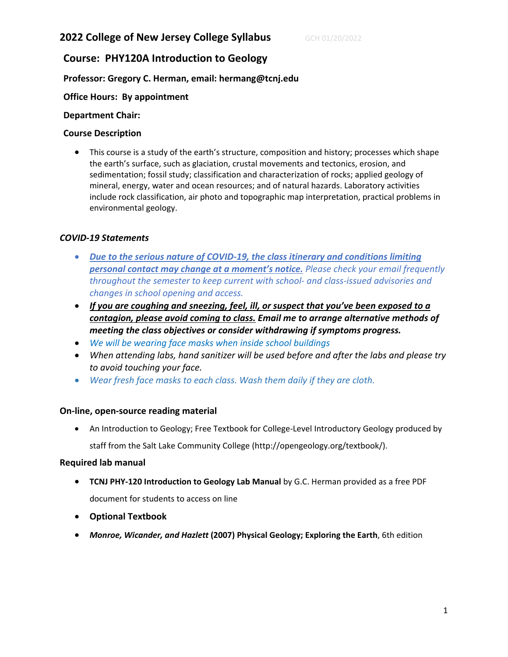# **2022 College of New Jersey College Syllabus GCH 01/20/2022**

# **Course: PHY120A Introduction to Geology**

# **Professor: Gregory C. Herman, email: hermang@tcnj.edu**

# **Office Hours: By appointment**

#### **Department Chair:**

### **Course Description**

• This course is a study of the earth's structure, composition and history; processes which shape the earth's surface, such as glaciation, crustal movements and tectonics, erosion, and sedimentation; fossil study; classification and characterization of rocks; applied geology of mineral, energy, water and ocean resources; and of natural hazards. Laboratory activities include rock classification, air photo and topographic map interpretation, practical problems in environmental geology.

#### *COVID-19 Statements*

- *Due to the serious nature of COVID-19, the class itinerary and conditions limiting personal contact may change at a moment's notice. Please check your email frequently throughout the semester to keep current with school- and class-issued advisories and changes in school opening and access.*
- *If you are coughing and sneezing, feel, ill, or suspect that you've been exposed to a contagion, please avoid coming to class. Email me to arrange alternative methods of meeting the class objectives or consider withdrawing if symptoms progress.*
- *We will be wearing face masks when inside school buildings*
- *When attending labs, hand sanitizer will be used before and after the labs and please try to avoid touching your face.*
- *Wear fresh face masks to each class. Wash them daily if they are cloth.*

#### **On-line, open-source reading material**

• An Introduction to Geology; Free Textbook for College-Level Introductory Geology produced by staff from the Salt Lake Community College (http://opengeology.org/textbook/).

#### **Required lab manual**

- **TCNJ PHY-120 Introduction to Geology Lab Manual** by G.C. Herman provided as a free PDF document for students to access on line
- **Optional Textbook**
- *Monroe, Wicander, and Hazlett* **(2007) Physical Geology; Exploring the Earth**, 6th edition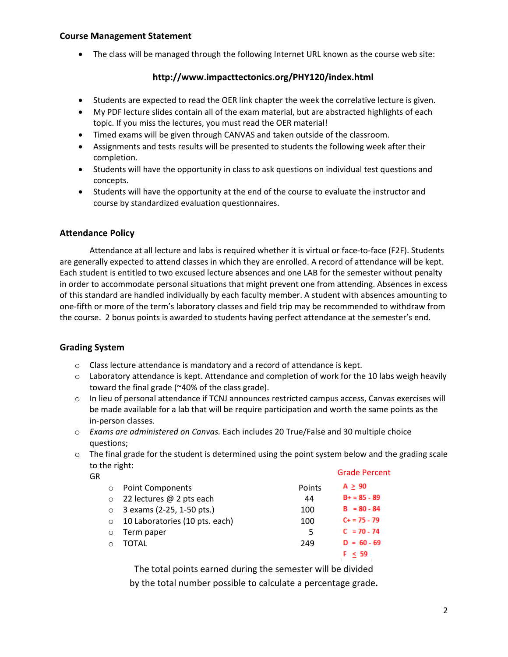# **Course Management Statement**

• The class will be managed through the following Internet URL known as the course web site:

# **http://www.impacttectonics.org/PHY120/index.html**

- Students are expected to read the OER link chapter the week the correlative lecture is given.
- My PDF lecture slides contain all of the exam material, but are abstracted highlights of each topic. If you miss the lectures, you must read the OER material!
- Timed exams will be given through CANVAS and taken outside of the classroom.
- Assignments and tests results will be presented to students the following week after their completion.
- Students will have the opportunity in class to ask questions on individual test questions and concepts.
- Students will have the opportunity at the end of the course to evaluate the instructor and course by standardized evaluation questionnaires.

# **Attendance Policy**

Attendance at all lecture and labs is required whether it is virtual or face-to-face (F2F). Students are generally expected to attend classes in which they are enrolled. A record of attendance will be kept. Each student is entitled to two excused lecture absences and one LAB for the semester without penalty in order to accommodate personal situations that might prevent one from attending. Absences in excess of this standard are handled individually by each faculty member. A student with absences amounting to one-fifth or more of the term's laboratory classes and field trip may be recommended to withdraw from the course. 2 bonus points is awarded to students having perfect attendance at the semester's end.

# **Grading System**

- o Class lecture attendance is mandatory and a record of attendance is kept.
- $\circ$  Laboratory attendance is kept. Attendance and completion of work for the 10 labs weigh heavily toward the final grade (~40% of the class grade).
- $\circ$  In lieu of personal attendance if TCNJ announces restricted campus access, Canvas exercises will be made available for a lab that will be require participation and worth the same points as the in-person classes.
- o *Exams are administered on Canvas.* Each includes 20 True/False and 30 multiple choice questions;
- $\circ$  The final grade for the student is determined using the point system below and the grading scale to the right:

| GR       |                                |        | <b>Grade Percent</b> |
|----------|--------------------------------|--------|----------------------|
| $\Omega$ | <b>Point Components</b>        | Points | $A \geq 90$          |
| $\circ$  | 22 lectures @ 2 pts each       | 44     | $B+ = 85 - 89$       |
| $\Omega$ | 3 exams (2-25, 1-50 pts.)      | 100    | $B = 80 - 84$        |
| $\circ$  | 10 Laboratories (10 pts. each) | 100    | $C + 75 - 79$        |
| $\Omega$ | Term paper                     | 5      | $C = 70 - 74$        |
| $\cap$   | TOTAL                          | 249    | $D = 60 - 69$        |
|          |                                |        | F < 59               |

The total points earned during the semester will be divided by the total number possible to calculate a percentage grade**.**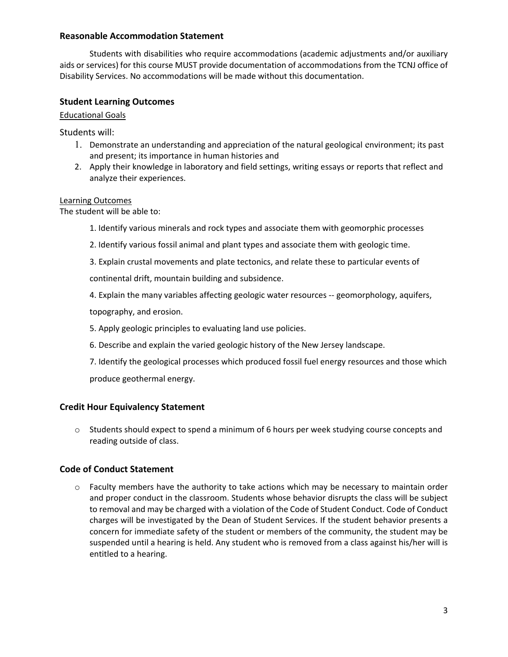#### **Reasonable Accommodation Statement**

Students with disabilities who require accommodations (academic adjustments and/or auxiliary aids or services) for this course MUST provide documentation of accommodations from the TCNJ office of Disability Services. No accommodations will be made without this documentation.

### **Student Learning Outcomes**

#### Educational Goals

Students will:

- 1. Demonstrate an understanding and appreciation of the natural geological environment; its past and present; its importance in human histories and
- 2. Apply their knowledge in laboratory and field settings, writing essays or reports that reflect and analyze their experiences.

#### Learning Outcomes

The student will be able to:

- 1. Identify various minerals and rock types and associate them with geomorphic processes
- 2. Identify various fossil animal and plant types and associate them with geologic time.
- 3. Explain crustal movements and plate tectonics, and relate these to particular events of continental drift, mountain building and subsidence.

4. Explain the many variables affecting geologic water resources -- geomorphology, aquifers,

topography, and erosion.

- 5. Apply geologic principles to evaluating land use policies.
- 6. Describe and explain the varied geologic history of the New Jersey landscape.
- 7. Identify the geological processes which produced fossil fuel energy resources and those which produce geothermal energy.

# **Credit Hour Equivalency Statement**

 $\circ$  Students should expect to spend a minimum of 6 hours per week studying course concepts and reading outside of class.

# **Code of Conduct Statement**

 $\circ$  Faculty members have the authority to take actions which may be necessary to maintain order and proper conduct in the classroom. Students whose behavior disrupts the class will be subject to removal and may be charged with a violation of the Code of Student Conduct. Code of Conduct charges will be investigated by the Dean of Student Services. If the student behavior presents a concern for immediate safety of the student or members of the community, the student may be suspended until a hearing is held. Any student who is removed from a class against his/her will is entitled to a hearing.